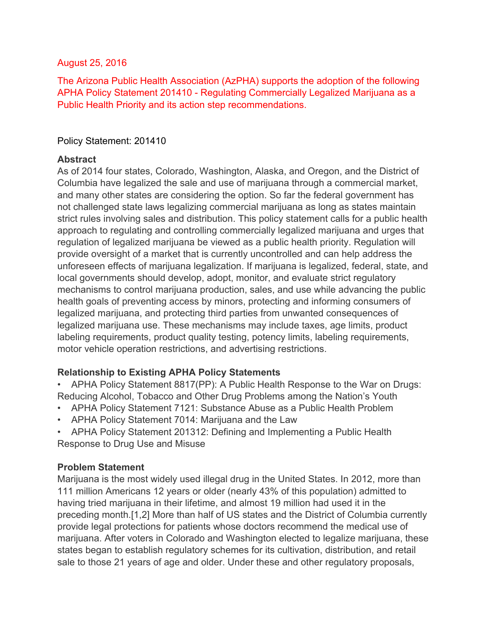#### August 25, 2016

The Arizona Public Health Association (AzPHA) supports the adoption of the following APHA Policy Statement 201410 - Regulating Commercially Legalized Marijuana as a Public Health Priority and its action step recommendations.

### Policy Statement: 201410

#### **Abstract**

As of 2014 four states, Colorado, Washington, Alaska, and Oregon, and the District of Columbia have legalized the sale and use of marijuana through a commercial market, and many other states are considering the option. So far the federal government has not challenged state laws legalizing commercial marijuana as long as states maintain strict rules involving sales and distribution. This policy statement calls for a public health approach to regulating and controlling commercially legalized marijuana and urges that regulation of legalized marijuana be viewed as a public health priority. Regulation will provide oversight of a market that is currently uncontrolled and can help address the unforeseen effects of marijuana legalization. If marijuana is legalized, federal, state, and local governments should develop, adopt, monitor, and evaluate strict regulatory mechanisms to control marijuana production, sales, and use while advancing the public health goals of preventing access by minors, protecting and informing consumers of legalized marijuana, and protecting third parties from unwanted consequences of legalized marijuana use. These mechanisms may include taxes, age limits, product labeling requirements, product quality testing, potency limits, labeling requirements, motor vehicle operation restrictions, and advertising restrictions.

## **Relationship to Existing APHA Policy Statements**

• APHA Policy Statement 8817(PP): A Public Health Response to the War on Drugs: Reducing Alcohol, Tobacco and Other Drug Problems among the Nation's Youth

- APHA Policy Statement 7121: Substance Abuse as a Public Health Problem
- APHA Policy Statement 7014: Marijuana and the Law
- APHA Policy Statement 201312: Defining and Implementing a Public Health Response to Drug Use and Misuse

## **Problem Statement**

Marijuana is the most widely used illegal drug in the United States. In 2012, more than 111 million Americans 12 years or older (nearly 43% of this population) admitted to having tried marijuana in their lifetime, and almost 19 million had used it in the preceding month.[1,2] More than half of US states and the District of Columbia currently provide legal protections for patients whose doctors recommend the medical use of marijuana. After voters in Colorado and Washington elected to legalize marijuana, these states began to establish regulatory schemes for its cultivation, distribution, and retail sale to those 21 years of age and older. Under these and other regulatory proposals,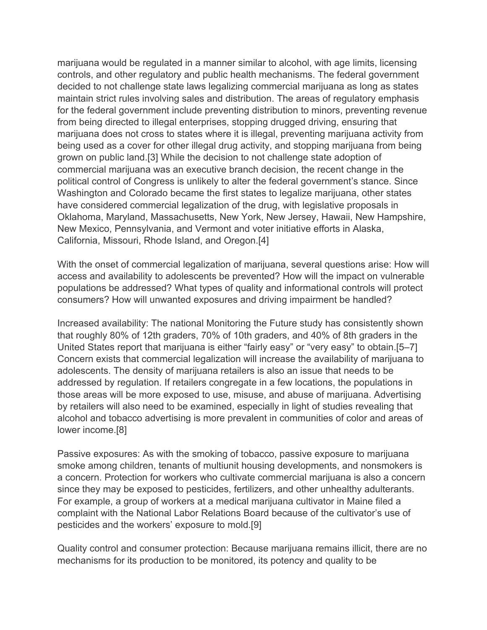marijuana would be regulated in a manner similar to alcohol, with age limits, licensing controls, and other regulatory and public health mechanisms. The federal government decided to not challenge state laws legalizing commercial marijuana as long as states maintain strict rules involving sales and distribution. The areas of regulatory emphasis for the federal government include preventing distribution to minors, preventing revenue from being directed to illegal enterprises, stopping drugged driving, ensuring that marijuana does not cross to states where it is illegal, preventing marijuana activity from being used as a cover for other illegal drug activity, and stopping marijuana from being grown on public land.[3] While the decision to not challenge state adoption of commercial marijuana was an executive branch decision, the recent change in the political control of Congress is unlikely to alter the federal government's stance. Since Washington and Colorado became the first states to legalize marijuana, other states have considered commercial legalization of the drug, with legislative proposals in Oklahoma, Maryland, Massachusetts, New York, New Jersey, Hawaii, New Hampshire, New Mexico, Pennsylvania, and Vermont and voter initiative efforts in Alaska, California, Missouri, Rhode Island, and Oregon.[4]

With the onset of commercial legalization of marijuana, several questions arise: How will access and availability to adolescents be prevented? How will the impact on vulnerable populations be addressed? What types of quality and informational controls will protect consumers? How will unwanted exposures and driving impairment be handled?

Increased availability: The national Monitoring the Future study has consistently shown that roughly 80% of 12th graders, 70% of 10th graders, and 40% of 8th graders in the United States report that marijuana is either "fairly easy" or "very easy" to obtain.[5–7] Concern exists that commercial legalization will increase the availability of marijuana to adolescents. The density of marijuana retailers is also an issue that needs to be addressed by regulation. If retailers congregate in a few locations, the populations in those areas will be more exposed to use, misuse, and abuse of marijuana. Advertising by retailers will also need to be examined, especially in light of studies revealing that alcohol and tobacco advertising is more prevalent in communities of color and areas of lower income.[8]

Passive exposures: As with the smoking of tobacco, passive exposure to marijuana smoke among children, tenants of multiunit housing developments, and nonsmokers is a concern. Protection for workers who cultivate commercial marijuana is also a concern since they may be exposed to pesticides, fertilizers, and other unhealthy adulterants. For example, a group of workers at a medical marijuana cultivator in Maine filed a complaint with the National Labor Relations Board because of the cultivator's use of pesticides and the workers' exposure to mold.[9]

Quality control and consumer protection: Because marijuana remains illicit, there are no mechanisms for its production to be monitored, its potency and quality to be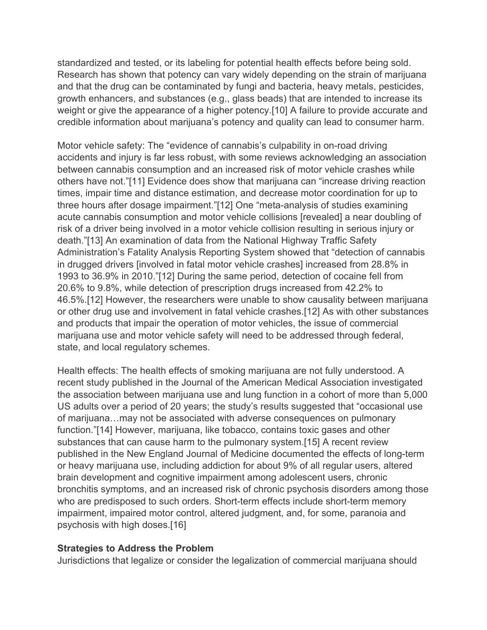standardized and tested, or its labeling for potential health effects before being sold. Research has shown that potency can vary widely depending on the strain of marijuana and that the drug can be contaminated by fungi and bacteria, heavy metals, pesticides, growth enhancers, and substances (e.g., glass beads) that are intended to increase its weight or give the appearance of a higher potency.[10] A failure to provide accurate and credible information about marijuana's potency and quality can lead to consumer harm.

Motor vehicle safety: The "evidence of cannabis's culpability in on-road driving accidents and injury is far less robust, with some reviews acknowledging an association between cannabis consumption and an increased risk of motor vehicle crashes while others have not."[11] Evidence does show that marijuana can "increase driving reaction times, impair time and distance estimation, and decrease motor coordination for up to three hours after dosage impairment."[12] One "meta-analysis of studies examining acute cannabis consumption and motor vehicle collisions [revealed] a near doubling of risk of a driver being involved in a motor vehicle collision resulting in serious injury or death."[13] An examination of data from the National Highway Traffic Safety Administration's Fatality Analysis Reporting System showed that "detection of cannabis in drugged drivers [involved in fatal motor vehicle crashes] increased from 28.8% in 1993 to 36.9% in 2010."[12] During the same period, detection of cocaine fell from 20.6% to 9.8%, while detection of prescription drugs increased from 42.2% to 46.5%.[12] However, the researchers were unable to show causality between marijuana or other drug use and involvement in fatal vehicle crashes.[12] As with other substances and products that impair the operation of motor vehicles, the issue of commercial marijuana use and motor vehicle safety will need to be addressed through federal, state, and local regulatory schemes.

Health effects: The health effects of smoking marijuana are not fully understood. A recent study published in the Journal of the American Medical Association investigated the association between marijuana use and lung function in a cohort of more than 5,000 US adults over a period of 20 years; the study's results suggested that "occasional use of marijuana…may not be associated with adverse consequences on pulmonary function."[14] However, marijuana, like tobacco, contains toxic gases and other substances that can cause harm to the pulmonary system.[15] A recent review published in the New England Journal of Medicine documented the effects of long-term or heavy marijuana use, including addiction for about 9% of all regular users, altered brain development and cognitive impairment among adolescent users, chronic bronchitis symptoms, and an increased risk of chronic psychosis disorders among those who are predisposed to such orders. Short-term effects include short-term memory impairment, impaired motor control, altered judgment, and, for some, paranoia and psychosis with high doses.[16]

#### **Strategies to Address the Problem**

Jurisdictions that legalize or consider the legalization of commercial marijuana should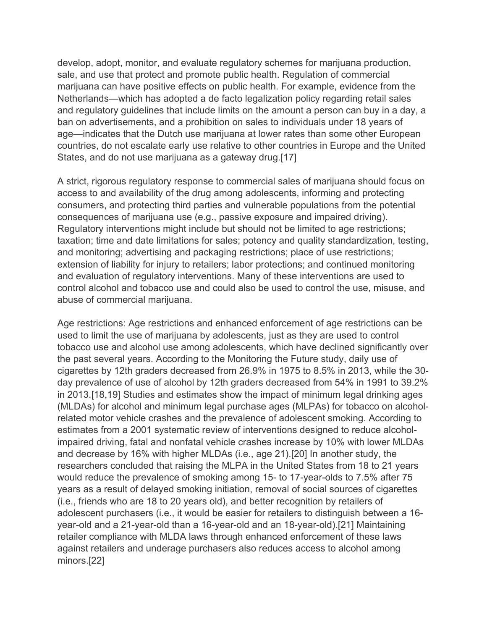develop, adopt, monitor, and evaluate regulatory schemes for marijuana production, sale, and use that protect and promote public health. Regulation of commercial marijuana can have positive effects on public health. For example, evidence from the Netherlands—which has adopted a de facto legalization policy regarding retail sales and regulatory guidelines that include limits on the amount a person can buy in a day, a ban on advertisements, and a prohibition on sales to individuals under 18 years of age—indicates that the Dutch use marijuana at lower rates than some other European countries, do not escalate early use relative to other countries in Europe and the United States, and do not use marijuana as a gateway drug.[17]

A strict, rigorous regulatory response to commercial sales of marijuana should focus on access to and availability of the drug among adolescents, informing and protecting consumers, and protecting third parties and vulnerable populations from the potential consequences of marijuana use (e.g., passive exposure and impaired driving). Regulatory interventions might include but should not be limited to age restrictions; taxation; time and date limitations for sales; potency and quality standardization, testing, and monitoring; advertising and packaging restrictions; place of use restrictions; extension of liability for injury to retailers; labor protections; and continued monitoring and evaluation of regulatory interventions. Many of these interventions are used to control alcohol and tobacco use and could also be used to control the use, misuse, and abuse of commercial marijuana.

Age restrictions: Age restrictions and enhanced enforcement of age restrictions can be used to limit the use of marijuana by adolescents, just as they are used to control tobacco use and alcohol use among adolescents, which have declined significantly over the past several years. According to the Monitoring the Future study, daily use of cigarettes by 12th graders decreased from 26.9% in 1975 to 8.5% in 2013, while the 30 day prevalence of use of alcohol by 12th graders decreased from 54% in 1991 to 39.2% in 2013.[18,19] Studies and estimates show the impact of minimum legal drinking ages (MLDAs) for alcohol and minimum legal purchase ages (MLPAs) for tobacco on alcoholrelated motor vehicle crashes and the prevalence of adolescent smoking. According to estimates from a 2001 systematic review of interventions designed to reduce alcoholimpaired driving, fatal and nonfatal vehicle crashes increase by 10% with lower MLDAs and decrease by 16% with higher MLDAs (i.e., age 21).[20] In another study, the researchers concluded that raising the MLPA in the United States from 18 to 21 years would reduce the prevalence of smoking among 15- to 17-year-olds to 7.5% after 75 years as a result of delayed smoking initiation, removal of social sources of cigarettes (i.e., friends who are 18 to 20 years old), and better recognition by retailers of adolescent purchasers (i.e., it would be easier for retailers to distinguish between a 16 year-old and a 21-year-old than a 16-year-old and an 18-year-old).[21] Maintaining retailer compliance with MLDA laws through enhanced enforcement of these laws against retailers and underage purchasers also reduces access to alcohol among minors.[22]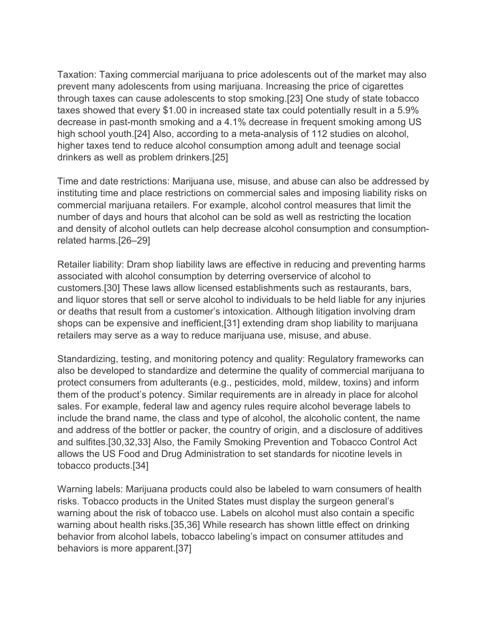Taxation: Taxing commercial marijuana to price adolescents out of the market may also prevent many adolescents from using marijuana. Increasing the price of cigarettes through taxes can cause adolescents to stop smoking.[23] One study of state tobacco taxes showed that every \$1.00 in increased state tax could potentially result in a 5.9% decrease in past-month smoking and a 4.1% decrease in frequent smoking among US high school youth.[24] Also, according to a meta-analysis of 112 studies on alcohol, higher taxes tend to reduce alcohol consumption among adult and teenage social drinkers as well as problem drinkers.[25]

Time and date restrictions: Marijuana use, misuse, and abuse can also be addressed by instituting time and place restrictions on commercial sales and imposing liability risks on commercial marijuana retailers. For example, alcohol control measures that limit the number of days and hours that alcohol can be sold as well as restricting the location and density of alcohol outlets can help decrease alcohol consumption and consumptionrelated harms.[26–29]

Retailer liability: Dram shop liability laws are effective in reducing and preventing harms associated with alcohol consumption by deterring overservice of alcohol to customers.[30] These laws allow licensed establishments such as restaurants, bars, and liquor stores that sell or serve alcohol to individuals to be held liable for any injuries or deaths that result from a customer's intoxication. Although litigation involving dram shops can be expensive and inefficient,[31] extending dram shop liability to marijuana retailers may serve as a way to reduce marijuana use, misuse, and abuse.

Standardizing, testing, and monitoring potency and quality: Regulatory frameworks can also be developed to standardize and determine the quality of commercial marijuana to protect consumers from adulterants (e.g., pesticides, mold, mildew, toxins) and inform them of the product's potency. Similar requirements are in already in place for alcohol sales. For example, federal law and agency rules require alcohol beverage labels to include the brand name, the class and type of alcohol, the alcoholic content, the name and address of the bottler or packer, the country of origin, and a disclosure of additives and sulfites.[30,32,33] Also, the Family Smoking Prevention and Tobacco Control Act allows the US Food and Drug Administration to set standards for nicotine levels in tobacco products.[34]

Warning labels: Marijuana products could also be labeled to warn consumers of health risks. Tobacco products in the United States must display the surgeon general's warning about the risk of tobacco use. Labels on alcohol must also contain a specific warning about health risks.[35,36] While research has shown little effect on drinking behavior from alcohol labels, tobacco labeling's impact on consumer attitudes and behaviors is more apparent.[37]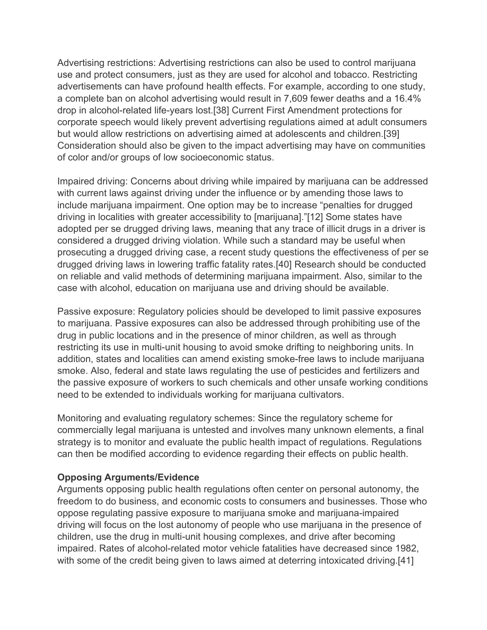Advertising restrictions: Advertising restrictions can also be used to control marijuana use and protect consumers, just as they are used for alcohol and tobacco. Restricting advertisements can have profound health effects. For example, according to one study, a complete ban on alcohol advertising would result in 7,609 fewer deaths and a 16.4% drop in alcohol-related life-years lost.[38] Current First Amendment protections for corporate speech would likely prevent advertising regulations aimed at adult consumers but would allow restrictions on advertising aimed at adolescents and children.[39] Consideration should also be given to the impact advertising may have on communities of color and/or groups of low socioeconomic status.

Impaired driving: Concerns about driving while impaired by marijuana can be addressed with current laws against driving under the influence or by amending those laws to include marijuana impairment. One option may be to increase "penalties for drugged driving in localities with greater accessibility to [marijuana]."[12] Some states have adopted per se drugged driving laws, meaning that any trace of illicit drugs in a driver is considered a drugged driving violation. While such a standard may be useful when prosecuting a drugged driving case, a recent study questions the effectiveness of per se drugged driving laws in lowering traffic fatality rates.[40] Research should be conducted on reliable and valid methods of determining marijuana impairment. Also, similar to the case with alcohol, education on marijuana use and driving should be available.

Passive exposure: Regulatory policies should be developed to limit passive exposures to marijuana. Passive exposures can also be addressed through prohibiting use of the drug in public locations and in the presence of minor children, as well as through restricting its use in multi-unit housing to avoid smoke drifting to neighboring units. In addition, states and localities can amend existing smoke-free laws to include marijuana smoke. Also, federal and state laws regulating the use of pesticides and fertilizers and the passive exposure of workers to such chemicals and other unsafe working conditions need to be extended to individuals working for marijuana cultivators.

Monitoring and evaluating regulatory schemes: Since the regulatory scheme for commercially legal marijuana is untested and involves many unknown elements, a final strategy is to monitor and evaluate the public health impact of regulations. Regulations can then be modified according to evidence regarding their effects on public health.

#### **Opposing Arguments/Evidence**

Arguments opposing public health regulations often center on personal autonomy, the freedom to do business, and economic costs to consumers and businesses. Those who oppose regulating passive exposure to marijuana smoke and marijuana-impaired driving will focus on the lost autonomy of people who use marijuana in the presence of children, use the drug in multi-unit housing complexes, and drive after becoming impaired. Rates of alcohol-related motor vehicle fatalities have decreased since 1982, with some of the credit being given to laws aimed at deterring intoxicated driving.[41]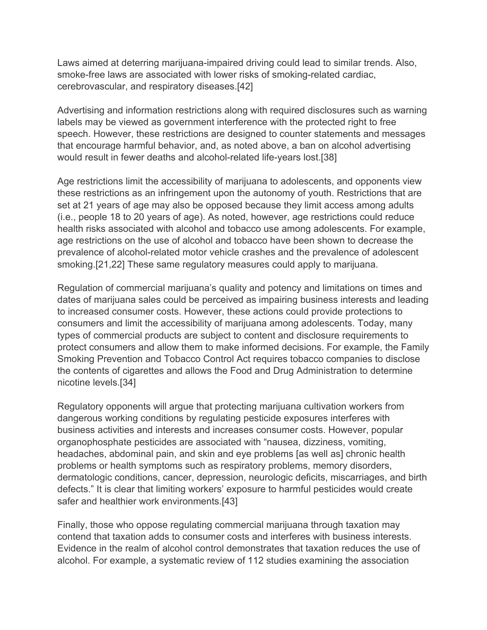Laws aimed at deterring marijuana-impaired driving could lead to similar trends. Also, smoke-free laws are associated with lower risks of smoking-related cardiac, cerebrovascular, and respiratory diseases.[42]

Advertising and information restrictions along with required disclosures such as warning labels may be viewed as government interference with the protected right to free speech. However, these restrictions are designed to counter statements and messages that encourage harmful behavior, and, as noted above, a ban on alcohol advertising would result in fewer deaths and alcohol-related life-years lost.[38]

Age restrictions limit the accessibility of marijuana to adolescents, and opponents view these restrictions as an infringement upon the autonomy of youth. Restrictions that are set at 21 years of age may also be opposed because they limit access among adults (i.e., people 18 to 20 years of age). As noted, however, age restrictions could reduce health risks associated with alcohol and tobacco use among adolescents. For example, age restrictions on the use of alcohol and tobacco have been shown to decrease the prevalence of alcohol-related motor vehicle crashes and the prevalence of adolescent smoking.[21,22] These same regulatory measures could apply to marijuana.

Regulation of commercial marijuana's quality and potency and limitations on times and dates of marijuana sales could be perceived as impairing business interests and leading to increased consumer costs. However, these actions could provide protections to consumers and limit the accessibility of marijuana among adolescents. Today, many types of commercial products are subject to content and disclosure requirements to protect consumers and allow them to make informed decisions. For example, the Family Smoking Prevention and Tobacco Control Act requires tobacco companies to disclose the contents of cigarettes and allows the Food and Drug Administration to determine nicotine levels.[34]

Regulatory opponents will argue that protecting marijuana cultivation workers from dangerous working conditions by regulating pesticide exposures interferes with business activities and interests and increases consumer costs. However, popular organophosphate pesticides are associated with "nausea, dizziness, vomiting, headaches, abdominal pain, and skin and eye problems [as well as] chronic health problems or health symptoms such as respiratory problems, memory disorders, dermatologic conditions, cancer, depression, neurologic deficits, miscarriages, and birth defects." It is clear that limiting workers' exposure to harmful pesticides would create safer and healthier work environments.[43]

Finally, those who oppose regulating commercial marijuana through taxation may contend that taxation adds to consumer costs and interferes with business interests. Evidence in the realm of alcohol control demonstrates that taxation reduces the use of alcohol. For example, a systematic review of 112 studies examining the association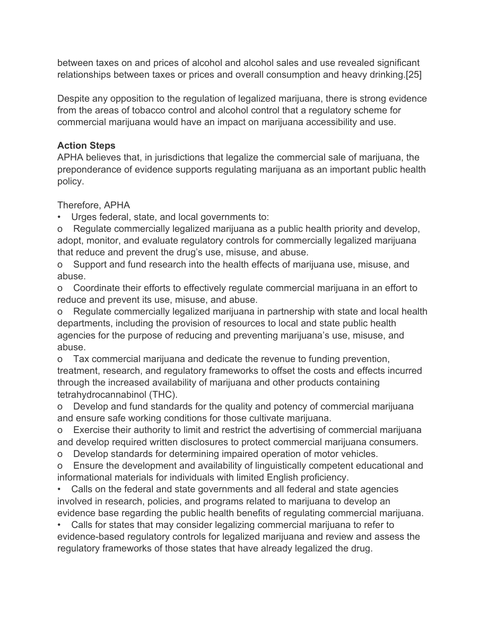between taxes on and prices of alcohol and alcohol sales and use revealed significant relationships between taxes or prices and overall consumption and heavy drinking.[25]

Despite any opposition to the regulation of legalized marijuana, there is strong evidence from the areas of tobacco control and alcohol control that a regulatory scheme for commercial marijuana would have an impact on marijuana accessibility and use.

# **Action Steps**

APHA believes that, in jurisdictions that legalize the commercial sale of marijuana, the preponderance of evidence supports regulating marijuana as an important public health policy.

Therefore, APHA

Urges federal, state, and local governments to:

o Regulate commercially legalized marijuana as a public health priority and develop, adopt, monitor, and evaluate regulatory controls for commercially legalized marijuana that reduce and prevent the drug's use, misuse, and abuse.

o Support and fund research into the health effects of marijuana use, misuse, and abuse.

o Coordinate their efforts to effectively regulate commercial marijuana in an effort to reduce and prevent its use, misuse, and abuse.

o Regulate commercially legalized marijuana in partnership with state and local health departments, including the provision of resources to local and state public health agencies for the purpose of reducing and preventing marijuana's use, misuse, and abuse.

o Tax commercial marijuana and dedicate the revenue to funding prevention, treatment, research, and regulatory frameworks to offset the costs and effects incurred through the increased availability of marijuana and other products containing tetrahydrocannabinol (THC).

o Develop and fund standards for the quality and potency of commercial marijuana and ensure safe working conditions for those cultivate marijuana.

o Exercise their authority to limit and restrict the advertising of commercial marijuana and develop required written disclosures to protect commercial marijuana consumers.

o Develop standards for determining impaired operation of motor vehicles.

o Ensure the development and availability of linguistically competent educational and informational materials for individuals with limited English proficiency.

• Calls on the federal and state governments and all federal and state agencies involved in research, policies, and programs related to marijuana to develop an evidence base regarding the public health benefits of regulating commercial marijuana.

• Calls for states that may consider legalizing commercial marijuana to refer to evidence-based regulatory controls for legalized marijuana and review and assess the regulatory frameworks of those states that have already legalized the drug.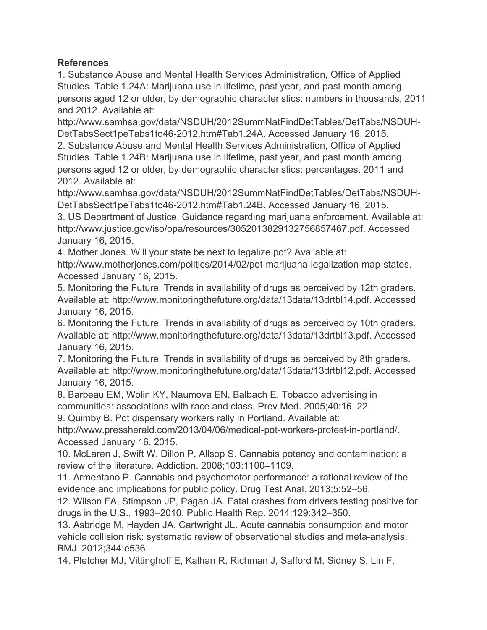## **References**

1. Substance Abuse and Mental Health Services Administration, Office of Applied Studies. Table 1.24A: Marijuana use in lifetime, past year, and past month among persons aged 12 or older, by demographic characteristics: numbers in thousands, 2011 and 2012. Available at:

http://www.samhsa.gov/data/NSDUH/2012SummNatFindDetTables/DetTabs/NSDUH-DetTabsSect1peTabs1to46-2012.htm#Tab1.24A. Accessed January 16, 2015.

2. Substance Abuse and Mental Health Services Administration, Office of Applied Studies. Table 1.24B: Marijuana use in lifetime, past year, and past month among persons aged 12 or older, by demographic characteristics: percentages, 2011 and 2012. Available at:

http://www.samhsa.gov/data/NSDUH/2012SummNatFindDetTables/DetTabs/NSDUH-DetTabsSect1peTabs1to46-2012.htm#Tab1.24B. Accessed January 16, 2015.

3. US Department of Justice. Guidance regarding marijuana enforcement. Available at: http://www.justice.gov/iso/opa/resources/3052013829132756857467.pdf. Accessed January 16, 2015.

4. Mother Jones. Will your state be next to legalize pot? Available at:

http://www.motherjones.com/politics/2014/02/pot-marijuana-legalization-map-states. Accessed January 16, 2015.

5. Monitoring the Future. Trends in availability of drugs as perceived by 12th graders. Available at: http://www.monitoringthefuture.org/data/13data/13drtbl14.pdf. Accessed January 16, 2015.

6. Monitoring the Future. Trends in availability of drugs as perceived by 10th graders. Available at: http://www.monitoringthefuture.org/data/13data/13drtbl13.pdf. Accessed January 16, 2015.

7. Monitoring the Future. Trends in availability of drugs as perceived by 8th graders. Available at: http://www.monitoringthefuture.org/data/13data/13drtbl12.pdf. Accessed January 16, 2015.

8. Barbeau EM, Wolin KY, Naumova EN, Balbach E. Tobacco advertising in communities: associations with race and class. Prev Med. 2005;40:16–22.

9. Quimby B. Pot dispensary workers rally in Portland. Available at:

http://www.pressherald.com/2013/04/06/medical-pot-workers-protest-in-portland/. Accessed January 16, 2015.

10. McLaren J, Swift W, Dillon P, Allsop S. Cannabis potency and contamination: a review of the literature. Addiction. 2008;103:1100–1109.

11. Armentano P. Cannabis and psychomotor performance: a rational review of the evidence and implications for public policy. Drug Test Anal. 2013;5:52–56.

12. Wilson FA, Stimpson JP, Pagan JA. Fatal crashes from drivers testing positive for drugs in the U.S., 1993–2010. Public Health Rep. 2014;129:342–350.

13. Asbridge M, Hayden JA, Cartwright JL. Acute cannabis consumption and motor vehicle collision risk: systematic review of observational studies and meta-analysis. BMJ. 2012;344:e536.

14. Pletcher MJ, Vittinghoff E, Kalhan R, Richman J, Safford M, Sidney S, Lin F,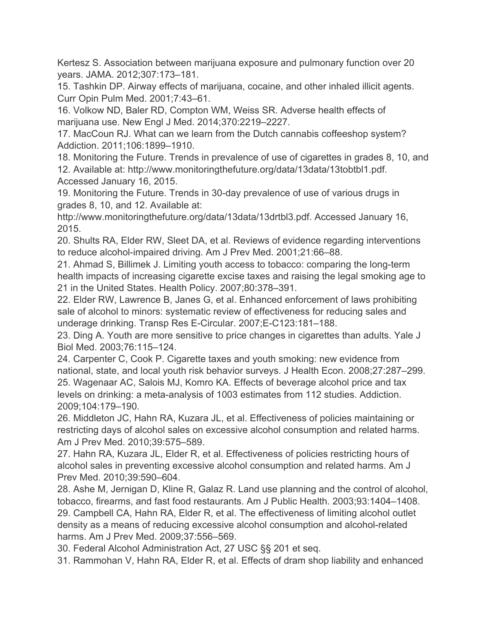Kertesz S. Association between marijuana exposure and pulmonary function over 20 years. JAMA. 2012;307:173–181.

15. Tashkin DP. Airway effects of marijuana, cocaine, and other inhaled illicit agents. Curr Opin Pulm Med. 2001;7:43–61.

16. Volkow ND, Baler RD, Compton WM, Weiss SR. Adverse health effects of marijuana use. New Engl J Med. 2014;370:2219–2227.

17. MacCoun RJ. What can we learn from the Dutch cannabis coffeeshop system? Addiction. 2011;106:1899–1910.

18. Monitoring the Future. Trends in prevalence of use of cigarettes in grades 8, 10, and 12. Available at: http://www.monitoringthefuture.org/data/13data/13tobtbl1.pdf. Accessed January 16, 2015.

19. Monitoring the Future. Trends in 30-day prevalence of use of various drugs in grades 8, 10, and 12. Available at:

http://www.monitoringthefuture.org/data/13data/13drtbl3.pdf. Accessed January 16, 2015.

20. Shults RA, Elder RW, Sleet DA, et al. Reviews of evidence regarding interventions to reduce alcohol-impaired driving. Am J Prev Med. 2001;21:66–88.

21. Ahmad S, Billimek J. Limiting youth access to tobacco: comparing the long-term health impacts of increasing cigarette excise taxes and raising the legal smoking age to 21 in the United States. Health Policy. 2007;80:378–391.

22. Elder RW, Lawrence B, Janes G, et al. Enhanced enforcement of laws prohibiting sale of alcohol to minors: systematic review of effectiveness for reducing sales and underage drinking. Transp Res E-Circular. 2007;E-C123:181–188.

23. Ding A. Youth are more sensitive to price changes in cigarettes than adults. Yale J Biol Med. 2003;76:115–124.

24. Carpenter C, Cook P. Cigarette taxes and youth smoking: new evidence from national, state, and local youth risk behavior surveys. J Health Econ. 2008;27:287–299. 25. Wagenaar AC, Salois MJ, Komro KA. Effects of beverage alcohol price and tax levels on drinking: a meta-analysis of 1003 estimates from 112 studies. Addiction. 2009;104:179–190.

26. Middleton JC, Hahn RA, Kuzara JL, et al. Effectiveness of policies maintaining or restricting days of alcohol sales on excessive alcohol consumption and related harms. Am J Prev Med. 2010;39:575–589.

27. Hahn RA, Kuzara JL, Elder R, et al. Effectiveness of policies restricting hours of alcohol sales in preventing excessive alcohol consumption and related harms. Am J Prev Med. 2010;39:590–604.

28. Ashe M, Jernigan D, Kline R, Galaz R. Land use planning and the control of alcohol, tobacco, firearms, and fast food restaurants. Am J Public Health. 2003;93:1404–1408. 29. Campbell CA, Hahn RA, Elder R, et al. The effectiveness of limiting alcohol outlet density as a means of reducing excessive alcohol consumption and alcohol-related harms. Am J Prev Med. 2009;37:556–569.

30. Federal Alcohol Administration Act, 27 USC §§ 201 et seq.

31. Rammohan V, Hahn RA, Elder R, et al. Effects of dram shop liability and enhanced